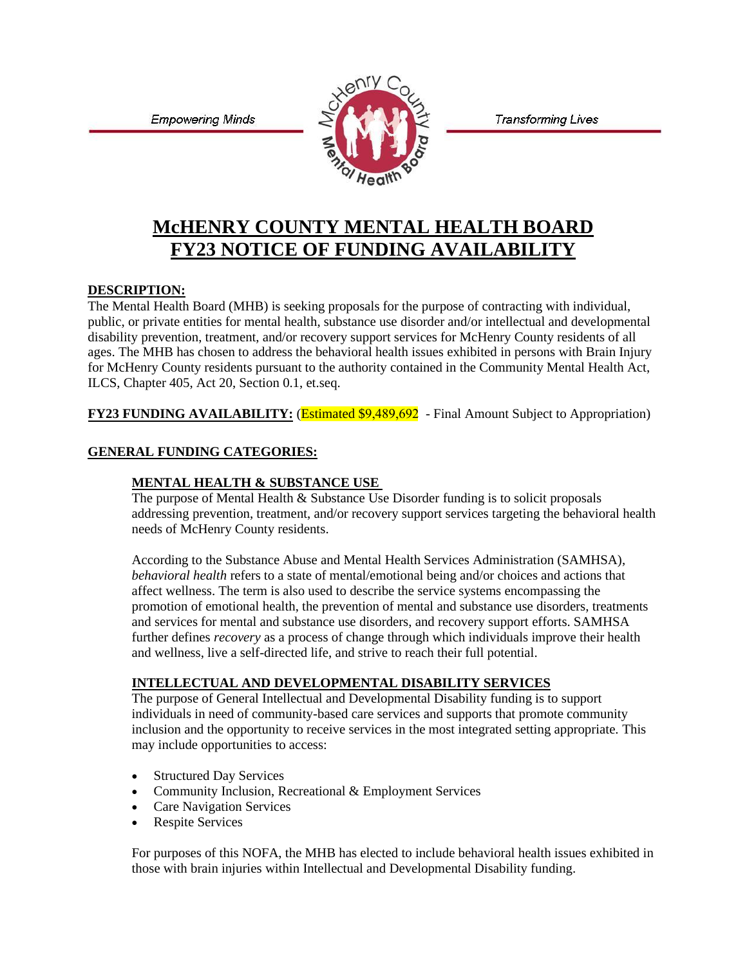**Transforming Lives** 

**Empowering Minds** 



# **McHENRY COUNTY MENTAL HEALTH BOARD FY23 NOTICE OF FUNDING AVAILABILITY**

## **DESCRIPTION:**

The Mental Health Board (MHB) is seeking proposals for the purpose of contracting with individual, public, or private entities for mental health, substance use disorder and/or intellectual and developmental disability prevention, treatment, and/or recovery support services for McHenry County residents of all ages. The MHB has chosen to address the behavioral health issues exhibited in persons with Brain Injury for McHenry County residents pursuant to the authority contained in the Community Mental Health Act, ILCS, Chapter 405, Act 20, Section 0.1, et.seq.

**FY23 FUNDING AVAILABILITY:** (*Estimated \$9,489,692* - Final Amount Subject to Appropriation)

## **GENERAL FUNDING CATEGORIES:**

#### **MENTAL HEALTH & SUBSTANCE USE**

The purpose of Mental Health & Substance Use Disorder funding is to solicit proposals addressing prevention, treatment, and/or recovery support services targeting the behavioral health needs of McHenry County residents.

According to the Substance Abuse and Mental Health Services Administration (SAMHSA), *behavioral health* refers to a state of mental/emotional being and/or choices and actions that affect wellness. The term is also used to describe the service systems encompassing the promotion of emotional health, the prevention of mental and substance use disorders, treatments and services for mental and substance use disorders, and recovery support efforts. SAMHSA further defines *recovery* as a process of change through which individuals improve their health and wellness, live a self-directed life, and strive to reach their full potential.

#### **INTELLECTUAL AND DEVELOPMENTAL DISABILITY SERVICES**

The purpose of General Intellectual and Developmental Disability funding is to support individuals in need of community-based care services and supports that promote community inclusion and the opportunity to receive services in the most integrated setting appropriate. This may include opportunities to access:

- **Structured Day Services**
- Community Inclusion, Recreational & Employment Services
- Care Navigation Services
- Respite Services

For purposes of this NOFA, the MHB has elected to include behavioral health issues exhibited in those with brain injuries within Intellectual and Developmental Disability funding.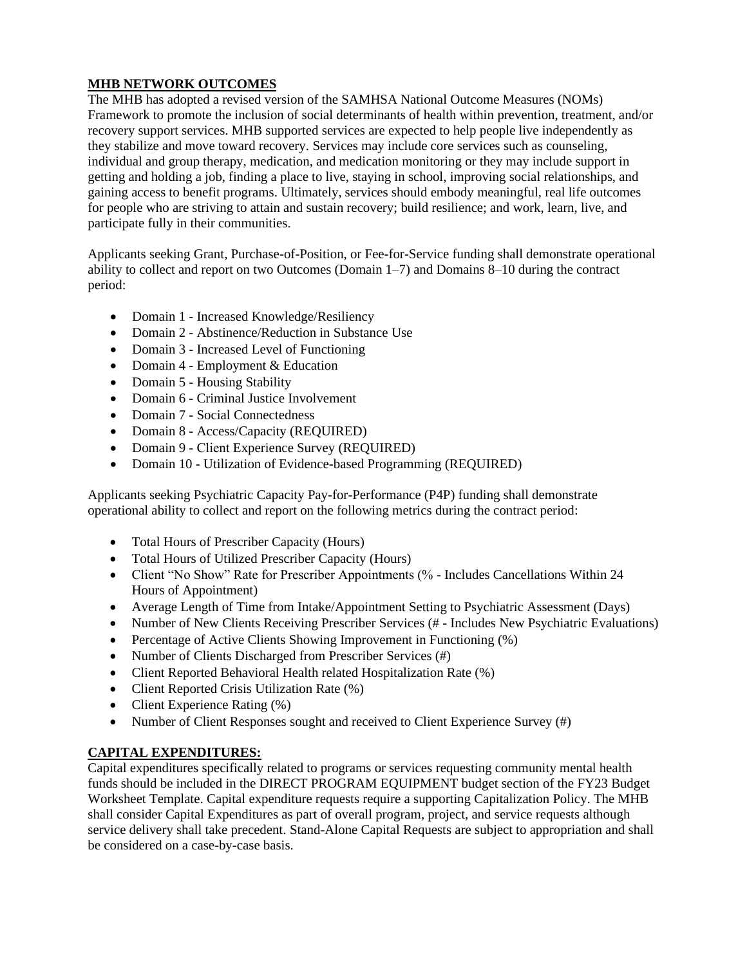# **MHB NETWORK OUTCOMES**

The MHB has adopted a revised version of the SAMHSA National Outcome Measures (NOMs) Framework to promote the inclusion of social determinants of health within prevention, treatment, and/or recovery support services. MHB supported services are expected to help people live independently as they stabilize and move toward recovery. Services may include core services such as counseling, individual and group therapy, medication, and medication monitoring or they may include support in getting and holding a job, finding a place to live, staying in school, improving social relationships, and gaining access to benefit programs. Ultimately, services should embody meaningful, real life outcomes for people who are striving to attain and sustain recovery; build resilience; and work, learn, live, and participate fully in their communities.

Applicants seeking Grant, Purchase-of-Position, or Fee-for-Service funding shall demonstrate operational ability to collect and report on two Outcomes (Domain 1–7) and Domains 8–10 during the contract period:

- Domain 1 Increased Knowledge/Resiliency
- Domain 2 Abstinence/Reduction in Substance Use
- Domain 3 Increased Level of Functioning
- Domain 4 Employment & Education
- Domain 5 Housing Stability
- Domain 6 Criminal Justice Involvement
- Domain 7 Social Connectedness
- Domain 8 Access/Capacity (REQUIRED)
- Domain 9 Client Experience Survey (REQUIRED)
- Domain 10 Utilization of Evidence-based Programming (REQUIRED)

Applicants seeking Psychiatric Capacity Pay-for-Performance (P4P) funding shall demonstrate operational ability to collect and report on the following metrics during the contract period:

- Total Hours of Prescriber Capacity (Hours)
- Total Hours of Utilized Prescriber Capacity (Hours)
- Client "No Show" Rate for Prescriber Appointments (% Includes Cancellations Within 24 Hours of Appointment)
- Average Length of Time from Intake/Appointment Setting to Psychiatric Assessment (Days)
- Number of New Clients Receiving Prescriber Services (# Includes New Psychiatric Evaluations)
- Percentage of Active Clients Showing Improvement in Functioning (%)
- Number of Clients Discharged from Prescriber Services (#)
- Client Reported Behavioral Health related Hospitalization Rate (%)
- Client Reported Crisis Utilization Rate  $(\%)$
- Client Experience Rating  $(\%)$
- Number of Client Responses sought and received to Client Experience Survey (#)

# **CAPITAL EXPENDITURES:**

Capital expenditures specifically related to programs or services requesting community mental health funds should be included in the DIRECT PROGRAM EQUIPMENT budget section of the FY23 Budget Worksheet Template. Capital expenditure requests require a supporting Capitalization Policy. The MHB shall consider Capital Expenditures as part of overall program, project, and service requests although service delivery shall take precedent. Stand-Alone Capital Requests are subject to appropriation and shall be considered on a case-by-case basis.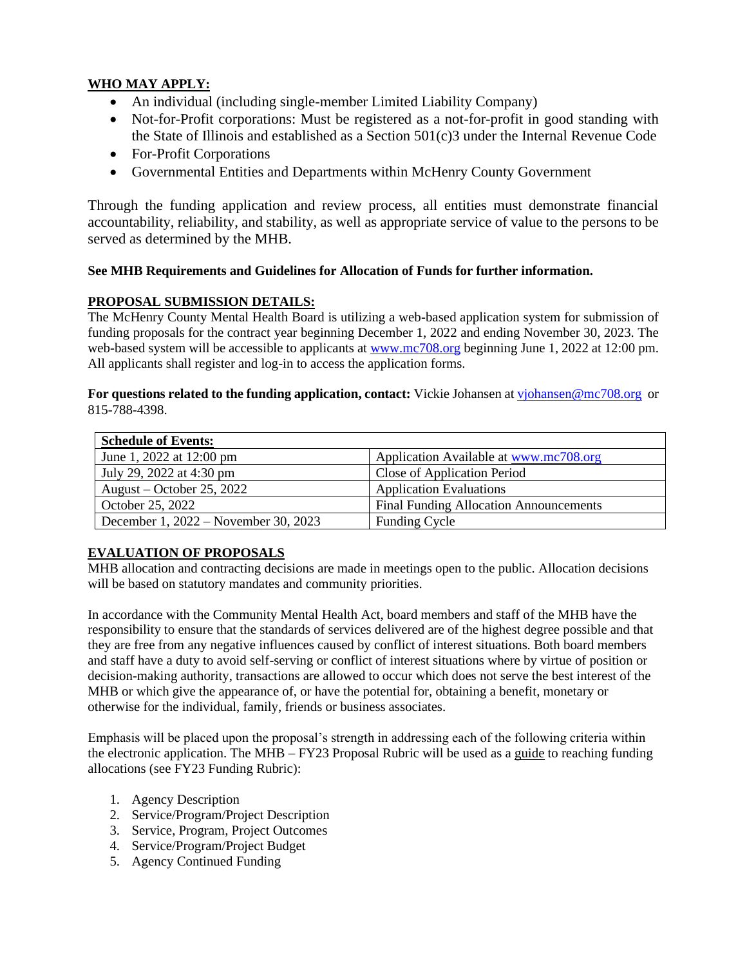# **WHO MAY APPLY:**

- An individual (including single-member Limited Liability Company)
- Not-for-Profit corporations: Must be registered as a not-for-profit in good standing with the State of Illinois and established as a Section 501(c)3 under the Internal Revenue Code
- For-Profit Corporations
- Governmental Entities and Departments within McHenry County Government

Through the funding application and review process, all entities must demonstrate financial accountability, reliability, and stability, as well as appropriate service of value to the persons to be served as determined by the MHB.

#### **See MHB Requirements and Guidelines for Allocation of Funds for further information.**

#### **PROPOSAL SUBMISSION DETAILS:**

The McHenry County Mental Health Board is utilizing a web-based application system for submission of funding proposals for the contract year beginning December 1, 2022 and ending November 30, 2023. The web-based system will be accessible to applicants at [www.mc708.org](http://www.mc708.org/) beginning June 1, 2022 at 12:00 pm. All applicants shall register and log-in to access the application forms.

**For questions related to the funding application, contact:** Vickie Johansen at viohansen@mc708.org or 815-788-4398.

| <b>Schedule of Events:</b>           |                                               |
|--------------------------------------|-----------------------------------------------|
| June 1, 2022 at 12:00 pm             | Application Available at www.mc708.org        |
| July 29, 2022 at 4:30 pm             | Close of Application Period                   |
| August – October 25, 2022            | <b>Application Evaluations</b>                |
| October 25, 2022                     | <b>Final Funding Allocation Announcements</b> |
| December 1, 2022 – November 30, 2023 | <b>Funding Cycle</b>                          |

#### **EVALUATION OF PROPOSALS**

MHB allocation and contracting decisions are made in meetings open to the public. Allocation decisions will be based on statutory mandates and community priorities.

In accordance with the Community Mental Health Act, board members and staff of the MHB have the responsibility to ensure that the standards of services delivered are of the highest degree possible and that they are free from any negative influences caused by conflict of interest situations. Both board members and staff have a duty to avoid self-serving or conflict of interest situations where by virtue of position or decision-making authority, transactions are allowed to occur which does not serve the best interest of the MHB or which give the appearance of, or have the potential for, obtaining a benefit, monetary or otherwise for the individual, family, friends or business associates.

Emphasis will be placed upon the proposal's strength in addressing each of the following criteria within the electronic application. The MHB – FY23 Proposal Rubric will be used as a guide to reaching funding allocations (see FY23 Funding Rubric):

- 1. Agency Description
- 2. Service/Program/Project Description
- 3. Service, Program, Project Outcomes
- 4. Service/Program/Project Budget
- 5. Agency Continued Funding